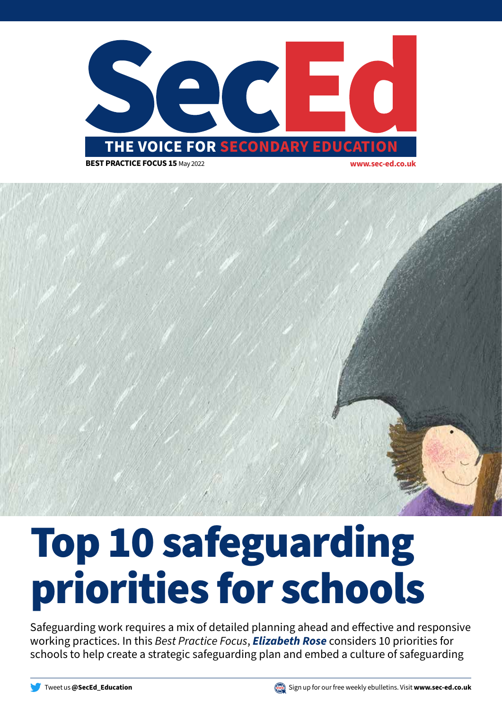

# Top 10 safeguarding priorities for schools

Safeguarding work requires a mix of detailed planning ahead and effective and responsive working practices. In this *Best Practice Focus*, *Elizabeth Rose* considers 10 priorities for schools to help create a strategic safeguarding plan and embed a culture of safeguarding

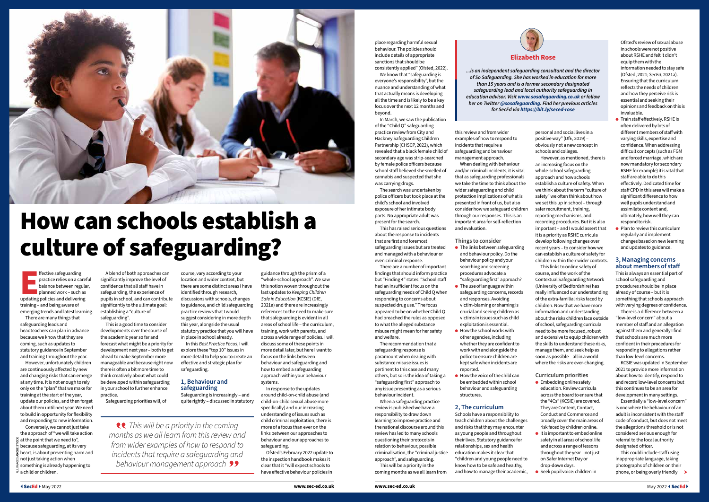# How can schools establish a culture of safeguarding?

**EXECUTE SEALER SEALER PROPRIMED PROPRIMED PROPRIMED PROPRIMED PROPRIMED PROPRIMED AND REPORT OF SUCH A LIBRARY PROPRIMED AND A LIBRARY SUPPORT OF STATE SUPPORT OF STATE SUPPORT OF STATE SUPPORT OF STATE STATE STATE STATE ffective safeguarding** practice relies on a careful balance between regular, **planned work – such as** training – and being aware of emerging trends and latest learning.

There are many things that safeguarding leads and headteachers can plan in advance because we know that they are coming, such as updates to statutory guidance in September and training throughout the year.

However, unfortunately children are continuously affected by new and changing risks that can emerge at any time. It is not enough to rely only on the "plan" that we make for training at the start of the year, update our policies, and then forget about them until next year. We need to build in opportunity for flexibility and responding to new information. Conversely, we cannot just take the approach of "we will take action

guidance through the prism of a "whole-school approach". We saw this notion woven throughout the last updates to *Keeping Children Safe in Education* (KCSIE) (DfE, 2021a) and there are increasingly references to the need to make sure that safeguarding is evident in all areas of school life – the curriculum, training, work with parents, and across a wide range of policies. I will discuss some of these points in more detail later, but here I want to focus on the links between behaviour and safeguarding and how to embed a safeguarding approach within your behaviour systems. In response to the updates

at the point that we need to",  $\frac{5}{10}$  because safeguarding, at its very  $\frac{a}{2}$  heart, is about preventing harm and not just taking action when  $\vec{\hat{\xi}}$  something is already happening to  $\vec{\bar{\bf \epsilon}}$  a child or children. ALL IMAGES **ADOBE STOCK**

- $\bullet$  The links between safeguarding and behaviour policy. Do the behaviour policy and your searching and screening procedures advocate a "safeguarding first" approach?
- $\bullet$  The use of language within safeguarding concerns, records and responses. Avoiding victim-blaming or shaming is crucial and seeing children as victims in issues such as child exploitation is essential.
- How the school works with other agencies, including whether they are confident to work with and alongside the police to ensure children are kept safe when incidents are reported.
- $\blacktriangleright$  How the voice of the child can be embedded within school behaviour and safeguarding structures.

have effective behaviour policies in http://endityle.coming months as we all learn from and how to manage their academic,  $\qquad \bullet \,$  Seek pupil voice: children in phone, or being overly friendly  $\qquad \blacktriangleright$ Schools have a responsibility to teach children about the challenges and risks that they may encounter as young people and throughout their lives. Statutory guidance for relationships, sex and health education makes it clear that "children and young people need to know how to be safe and healthy,

around child-on-child abuse (and child-on-child sexual abuse more specifically) and our increasing understanding of issues such as child criminal exploitation, there is more of a focus than ever on the links between our approaches to behaviour and our approaches to safeguarding.

Ofsted's February 2022 update to the inspection handbook makes it clear that it "will expect schools to

this review and from wider examples of how to respond to incidents that require a safeguarding and behaviour management approach.

When dealing with behaviour and/or criminal incidents, it is vital that as safeguarding professionals we take the time to think about the wider safeguarding and child protection implications of what is presented in front of us, but also consider how we safeguard children through our responses. This is an important area for self-reflection and evaluation.

**Things to consider**

### **2, The curriculum**



place regarding harmful sexual behaviour. The policies should include details of appropriate sanctions that should be consistently applied" (Ofsted, 2022).

We know that "safeguarding is everyone's responsibility", but the nuance and understanding of what that actually means is developing all the time and is likely to be a key focus over the next 12 months and beyond.

- Train staff effectively. RSHE is often delivered by lots of different members of staff with varying skills, expertise and confidence. When addressing difficult concepts (such as FGM and forced marriage, which are now mandatory for secondary RSHE for example) it is vital that staff are able to do this effectively. Dedicated time for staff CPD in this area will make a significant difference to how well pupils understand and assimilate content and, ultimately, how well they can respond to risk.
- $\blacktriangleright$  Plan to review this curriculum regularly and implement changes based on new learning and updates to guidance.

In March, we saw the publication of the "Child Q" safeguarding practice review from City and Hackney Safeguarding Children Partnership (CHSCP, 2022), which revealed that a black female child of secondary age was strip-searched by female police officers because school staff believed she smelled of cannabis and suspected that she was carrying drugs.

The search was undertaken by police officers but took place at the child's school and involved exposure of her intimate body parts. No appropriate adult was present for the search.

This has raised serious questions about the response to incidents that are first and foremost safeguarding issues but are treated and managed with a behaviour or even criminal response.

There are a number of important findings that should inform practice but "Finding 4" states: "School staff had an insufficient focus on the safeguarding needs of Child Q when responding to concerns about suspected drug use." The focus appeared to be on whether Child Q had breached the rules as opposed to what the alleged substance misuse might mean for her safety and welfare.

The recommendation that a safeguarding response is paramount when dealing with substance misuse issues is pertinent to this case and many others, but so is the idea of taking a "safeguarding first" approach to any issue presenting as a serious behaviour incident.

When a safeguarding practice review is published we have a responsibility to draw down learning to improve practice and the national discourse around this review has led to many schools questioning their protocols in relation to behaviour, possible criminalisation, the "criminal justice approach", and safeguarding. This will be a priority in the

coming months as we all learn from

personal and social lives in a positive way" (DfE, 2019) – obviously not a new concept in schools and colleges.

However, as mentioned, there is an increasing focus on the whole-school safeguarding approach and how schools establish a culture of safety. When we think about the term "culture of safety" we often think about how we set this up in school – through safer recruitment, training, reporting mechanisms, and recording procedures. But it is also important – and I would assert that it is a priority as RSHE curricula develop following changes over recent years – to consider how we can establish a culture of safety for children within their wider contexts.

This links to online safety of course, and the work of the Contextual Safeguarding Network (University of Bedfordshire) has really influenced our understanding of the extra-familial risks faced by children. Now that we have more information and understanding about the risks children face outside of school, safeguarding curricula need to be more focused, robust and extensive to equip children with the skills to understand these risks, manage them, and seek help as soon as possible – all in a world where the risks are ever-changing.

**Curriculum priorities**

- $\bullet$  Embedding online safety education. Review curricula across the board to ensure that the "4Cs" (KCSIE) are covered. They are Content, Contact, Conduct and Commerce and broadly cover the main areas of risk faced by children online.
- It is important to embed online safety in all areas of school life and across a range of lessons throughout the year – not just on Safer Internet Day or drop-down days.
- Seek pupil voice: children in

Ofsted's review of sexual abuse in schools were not positive about RSHE and felt it didn't equip them with the information needed to stay safe (Ofsted, 2021; *SecEd*, 2021a). Ensuring that the curriculum reflects the needs of children and how they perceive risk is essential and seeking their opinions and feedback on this is invaluable.

#### **3, Managing concerns about members of staff**

This is always an essential part of school safeguarding and procedures should be in place already of course – but it is something that schools approach with varying degrees of confidence.

There is a difference between a "low-level concern" about a member of staff and an allegation against them and generally I find that schools are much more confident in their procedures for responding to allegations rather than low-level concerns.

KCSIE was updated in September 2021 to provide more information about how to identify, respond to and record low-level concerns but this continues to be an area for development in many settings.

Essentially a "low-level concern" is one where the behaviour of an adult is inconsistent with the staff code of conduct, but does not meet the allegations threshold or is not considered serious enough for referral to the local authority designated officer.

This could include staff using inappropriate language, taking photographs of children on their phone, or being overly friendly



*...is an independent safeguarding consultant and the director of So Safeguarding. She has worked in education for more than 15 years and is a former secondary designated safeguarding lead and local authority safeguarding in education advisor. Visit www.sosafeguarding.co.uk or follow her on Twitter @sosafeguarding. Find her previous articles for SecEd via https://bit.ly/seced-rose*

*This will be a priority in the coming months as we all learn from this review and from wider examples of how to respond to incidents that require a safeguarding and behaviour management approach*

A blend of both approaches can significantly improve the level of confidence that all staff have in safeguarding, the experience of pupils in school, and can contribute significantly to the ultimate goal: establishing a "culture of safeguarding".

This is a good time to consider developments over the course of the academic year so far and forecast what might be a priority for development next year – both to get ahead to make September more manageable and because right now there is often a bit more time to think creatively about what could be developed within safeguarding in your school to further enhance practice.

Safeguarding priorities will, of

course, vary according to your location and wider context, but there are some distinct areas I have identified through research, discussions with schools, changes to guidance, and child safeguarding practice reviews that I would suggest considering in more depth this year, alongside the usual statutory practice that you will have in place in school already.

In this *Best Practice Focus*, I will explore these "top 10" issues in more detail to help you to create an effective and strategic plan for safeguarding.

#### **1, Behaviour and safeguarding**

Safeguarding is increasingly – and quite rightly – discussed in statutory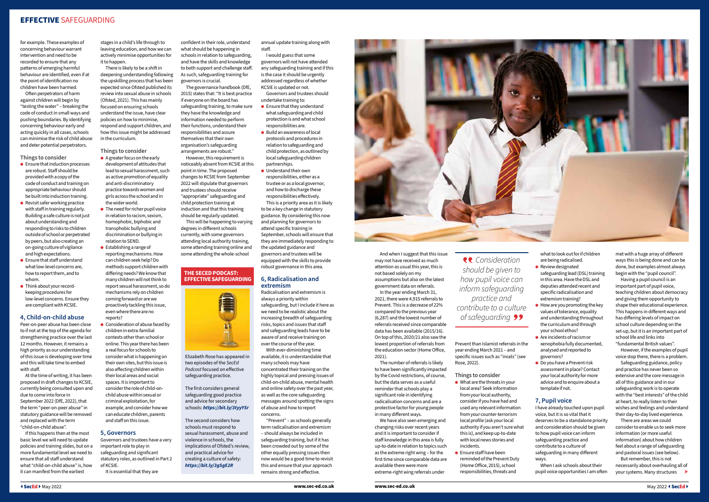for example. These examples of concerning behaviour warrant intervention and need to be recorded to ensure that any patterns of emerging harmful behaviour are identified, even if at the point of identification no children have been harmed.

Often perpetrators of harm against children will begin by "testing the water" – breaking the code of conduct in small ways and pushing boundaries. By identifying concerning behaviour early and acting quickly in all cases, schools can minimise the risk of child abuse and deter potential perpetrators.

**Things to consider**

- $\bullet$  Ensure that induction processes are robust. Staff should be provided with a copy of the code of conduct and training on appropriate behaviour should be built into induction training.
- $\bullet$  Revisit safer working practice with staff in training regularly. Building a safe culture is not just about understanding and responding to risks to children outside of school or perpetrated by peers, but also creating an on-going culture of vigilance and high expectations.
- $\bullet$  Ensure that staff understand what low-level concerns are, how to report them, and to whom.
- Think about your recordkeeping procedures for low-level concerns. Ensure they are compliant with KCSIE.

#### **4, Child-on-child abuse**

Peer-on-peer abuse has been close to if not at the top of the agenda for strengthening practice over the last 12 months. However, it remains a high priority as our understanding of this issue is developing over time and this will take time to embed with staff.

At the time of writing, it has been proposed in draft changes to KCSIE, currently being consulted upon and due to come into force in September 2022 (DfE, 2022), that the term "peer-on-peer abuse" in statutory guidance will be removed and replaced with the term "child-on-child abuse".

- A greater focus on the early development of attitudes that lead to sexual harassment, such as active promotion of equality and anti-discriminatory practice towards women and girls across the school and in the wider world.
- $\bullet$  The need for richer pupil voice in relation to racism, sexism, homophobic, biphobic and transphobic bullying and discrimination or bullying in relation to SEND.
- $\bullet$  Establishing a range of reporting mechanisms. How can children seek help? Do methods support children with differing needs? We know that many children will not think to report sexual harassment, so do mechanisms rely on children coming forward or are we proactively tackling this issue, even where there are no reports?
- **Consideration of abuse faced by** children in extra-familial contexts other than school or online. This year there has been a real focus for schools to consider what is happening on their own sites, but this issue is also affecting children within their local areas and social spaces. It is important to consider the role of child-onchild abuse within sexual or criminal exploitation, for example, and consider how we can educate children, parents and staff on this issue.

If this happens then at the most basic level we will need to update policies and training slides, but on a more fundamental level we need to ensure that all staff understand what "child-on-child abuse" is, how it can manifest from the earliest

stages in a child's life through to leaving education, and how we can actively minimise opportunities for it to happen.

There is likely to be a shift in deepening understanding following the upskilling process that has been expected since Ofsted published its review into sexual abuse in schools (Ofsted, 2021). This has mainly focused on ensuring schools understand the issue, have clear policies on how to minimise, respond and support children, and how this issue might be addressed in the curriculum.

#### **Things to consider**

- $\bullet$  Ensure that they understand what safeguarding and child protection is and what school responsibilities are.
- Build an awareness of local protocols and procedures in relation to safeguarding and child protection, as outlined by local safeguarding children partnerships.

#### **5, Governors**

Governors and trustees have a very important role to play in safeguarding and significant statutory roles, as outlined in Part 2 of KCSIE.

It is essential that they are

confident in their role, understand what should be happening in schools in relation to safeguarding, and have the skills and knowledge to both support and challenge staff. As such, safeguarding training for governors is crucial.

The governance handbook (DfE, 2015) states that: "It is best practice if everyone on the board has safeguarding training, to make sure they have the knowledge and information needed to perform their functions, understand their responsibilities and assure themselves that their own organisation's safeguarding arrangements are robust."

- $\bullet$  What are the threats in your local area? Seek information from your local authority, consider if you have had and used any relevant information from your counter-terrorism local profile (ask your local authority if you aren't sure what this is), and keep up-to-date with local news stories and incidents.
- Ensure staff have been reminded of the Prevent Duty (Home Office, 2015), school responsibilities, threats and
- Review designated safeguarding lead (DSL) training in this area. Have the DSL and deputies attended recent and specific radicalisation and extremism training?
- How are you promoting the key values of tolerance, equality and understanding throughout the curriculum and through your school ethos?
- Are incidents of racism or xenophobia fully documented, analysed and reported to governors?
- Do you have a Prevent risk assessment in place? Contact your local authority for more advice and to enquire about a template if not.

However, this requirement is noticeably absent from KCSIE at this point in time. The proposed changes to KCSIE from September 2022 will stipulate that governors and trustees should receive "appropriate" safeguarding and child protection training at induction and that this training should be regularly updated.

This will be happening to varying degrees in different schools currently, with some governors attending local authority training, some attending training online and some attending the whole-school

annual update training along with staff.

I would guess that some governors will not have attended any safeguarding training and if this is the case it should be urgently addressed regardless of whether KCSIE is updated or not.

Governors and trustees should undertake training to:

> your systems. Many structures But remember, this is not necessarily about overhauling all of

**Consideration** *should be given to how pupil voice can inform safeguarding practice and contribute to a culture of safeguarding*

● Understand their own responsibilities, either as a trustee or as a local governor, and how to discharge these responsibilities effectively. This is a priority area as it is likely to be a key change in statutory guidance. By considering this now and planning for governors to attend specific training in September, schools will ensure that they are immediately responding to the updated guidance and governors and trustees will be equipped with the skills to provide robust governance in this area.

#### **6, Radicalisation and extremism**

Radicalisation and extremism is always a priority within safeguarding, but I include it here as we need to be realistic about the increasing breadth of safeguarding risks, topics and issues that staff and safeguarding leads have to be aware of and receive training on over the course of the year. With ever-diminishing time

available, it is understandable that many schools may have concentrated their training on the highly topical and pressing issues of child-on-child abuse, mental health and online safety over the past year, as well as the core safeguarding messages around spotting the signs of abuse and how to report concerns.

"Prevent" – as schools generally term radicalisation and extremism – should always be included in safeguarding training, but if it has been crowded out by some of the other equally pressing issues then now would be a good time to revisit this and ensure that your approach remains strong and effective.



And when I suggest that this issue may not have received as much attention as usual this year, this is not based solely on my assumptions but also on the latest government data on referrals. In the year ending March 31, 2021, there were 4,915 referrals to Prevent. This is a decrease of 22% compared to the previous year (6,287) and the lowest number of referrals received since comparable data has been available (2015/16).

On top of this, 2020/21 also saw the lowest proportion of referrals from the education sector (Home Office, 2021). The number of referrals is likely to have been significantly impacted by the Covid restrictions, of course,

but the data serves as a useful reminder that schools play a significant role in identifying radicalisation concerns and are a protective factor for young people in many different ways.

We have also seen emerging and changing risks over recent years and it is important to consider if staff knowledge in this area is fully up-to-date in relation to topics such as the extreme right wing – for the first time since comparable data are available there were more extreme-right wing referrals under

Prevent than Islamist referrals in the year ending March 2021 – and specific issues such as "incels" (see Rose, 2022).

#### **Things to consider**

what to look out for if children are being radicalised.

# **7, Pupil voice**

I have already touched upon pupil voice, but it is so vital that it deserves to be a standalone priority and consideration should be given to how pupil voice can inform safeguarding practice and contribute to a culture of safeguarding in many different ways.

When I ask schools about their pupil voice opportunities I am often

met with a huge array of different ways this is being done and can be done, but examples almost always begin with the "pupil council".

Having a pupil council is an important part of pupil voice, teaching children about democracy and giving them opportunity to shape their educational experience. This happens in different ways and has differing levels of impact on school culture depending on the set-up, but it is an important part of school life and links into "fundamental British values".

However, if the examples of pupil voice stop there, there is a problem.

Safeguarding guidance, policy and practice has never been so extensive and the core message in all of this guidance and in our safeguarding work is to operate with the "best interests" of the child at heart, to really listen to their wishes and feelings and understand their day-to-day lived experience.

There are areas we could consider to enable us to seek more information (or more useful information) about how children feel about a range of safeguarding and pastoral issues (see below).

# EFFECTIVE SAFEGUARDING

Elizabeth Rose has appeared in two episodes of the *SecEd Podcast* focused on effective safeguarding practice.

The first considers general safeguarding good practice and advice for secondary schools: *https://bit.ly/3tyyY5r*

The second considers how schools must respond to sexual harassment, abuse and violence in schools, the implications of Ofsted's review, and practical advice for creating a culture of safety: *https://bit.ly/3gSgE2R*

#### **THE SECED PODCAST: EFFECTIVE SAFEGUARDING**